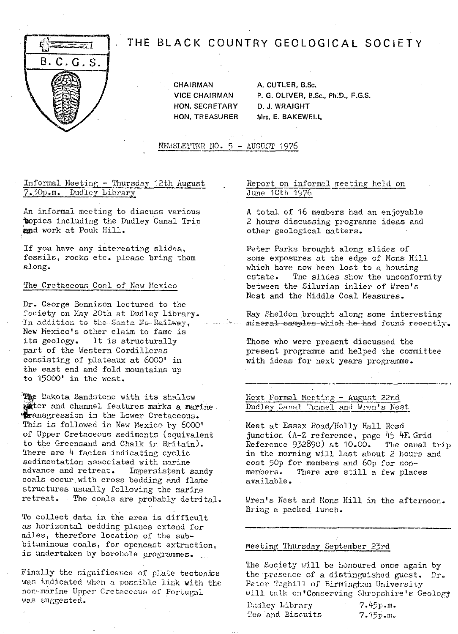

# THE BLACK COUNTRY GEOLOGICAL SOCIETY

CHAIRMAN A. CUTLER, B.Sc. **HON. SECRETARY D. J. WRAIGHT** 

**VICE CHAIRMAN P.** G. OLIVER, B.Sc., Ph.D., F.G.S. **HON.** TREASURER Mrs. E. **BAKEWELL**

NEWSLETTER NO. 5 - AUGUST 1976

# Informal Meeting - Thursday 12th August Report on informal meeting held on 7.30p.m. Dudley Library June 10th 1976 7.30p.m. Dudley Library

An informal meeting to discuss various topics including the Dudley Canal Trip and work at Pouk Hill.

If you have any interesting slides, fossils, rocks etc. please bring them along.

# The Cretaceous Coal of New Mexico

*Dr. George* Bennison lectured to the *'ooiety on May* 20th at Dudley Library. *In addition* to the Santa Fe-Railway, New Mexico's other claim to fame is<br>its geology. It is structurally It is structurally part of the Western Cordilleras consisting of plateaux at 6000' in the east end and fold mountains up to 15000' in the west.

The Dakota Sandstone with its shallow weter and channel ieatures marks a mar<br>Fransgression in the Lower Cretaceous. water and channel features marks a marine. This is followed in New Mexico by 6000' of Upper Cretaceous sediments (equivalent to the Greensand and Chalk in Britain). There are 4 facies indicating cyclic sedimentation associated with marine advance and retreat. Impersistent sandy coals occur with cross bedding and flame structures usually following the marine retreat. The coals are probably detrital.

To collect data in the area is difficult as horizontal bedding planes extend for miles, therefore location of the subbituminous coals, for opencast extraction, is undertaken by borehole programmes.

Finally the significance of plate tectonics was indicated when a possible link with the non-marine Upper Cretaceous; of Portugal was suggested.

A total of 16 members had an enjoyable 2 hours discussing programme ideas and other geological matters.

Peter Parks brought along slides of some exposures at the edge of Mons Hill which have now been lost to a housing<br>estate. The slides show the unconfor The slides show the unconformity between the Silurian inlier of Wren's Nest and the Middle Coal Measures.

Ray Sheldon brought along some interesting mineral camples which he had found recently.

Those who were present discussed the present programme and helped the committee with ideas for next years programme.

Next Formal Meeting - August 22nd Dudley Canal Tunnel and Wren's Nest

Meet at Essex Road/Holly Hall Road junction (A-Z reference, page 45 4F. Grid<br>Reference 932890) at 10.00. The canal trip  $R$ eference 932890) at 10.00. in the morning will last about 2 hours and cost 50p for members and 60p for non--<br>members. There are still a few place There are still a few places available.

Wren's Nest and Mons Hill in the afternoon. Bring a packed lunch.

## Meeting Thursday September 23rd

The Society will be honoured once again by the presence of a distinguished guest. Dr. Peter Toghill of Birmingham 'University will: talk cn'Conserving Shropshire's Geology

Dudley Library  $\begin{array}{ccc} 7.45p.m. \\ \text{Tea and Biscurits} \end{array}$  7.15p.m. Tea and Biscuits